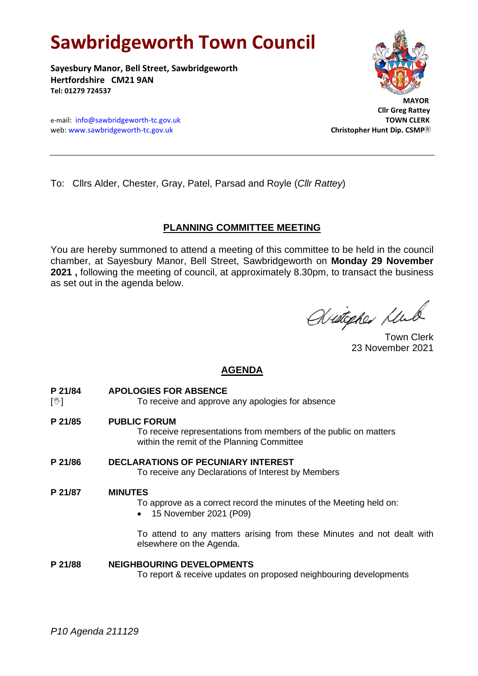# **Sawbridgeworth Town Council**

**Sayesbury Manor, Bell Street, Sawbridgeworth Hertfordshire CM21 9AN Tel: 01279 724537**



 **Cllr Greg Rattey**

e-mail: [info@sawbridgeworth-tc.gov.uk](mailto:info@sawbridgeworth-tc.gov.uk) **TOWN CLERK** web: www.sawbridgeworth-tc.gov.uk Christopher Huntip. CSMP<sup>R</sup>

To: Cllrs Alder, Chester, Gray, Patel, Parsad and Royle (*Cllr Rattey*)

### **PLANNING COMMITTEE MEETING**

You are hereby summoned to attend a meeting of this committee to be held in the council chamber, at Sayesbury Manor, Bell Street, Sawbridgeworth on **Monday 29 November 2021 ,** following the meeting of council, at approximately 8.30pm, to transact the business as set out in the agenda below.

Aristopher Klub

Town Clerk 23 November 2021

## **AGENDA**

- **P 21/84 APOLOGIES FOR ABSENCE**
- [ $\mathcal{Y}$ ] To receive and approve any apologies for absence
- **P 21/85 PUBLIC FORUM**

To receive representations from members of the public on matters within the remit of the Planning Committee

**P 21/86 DECLARATIONS OF PECUNIARY INTEREST** To receive any Declarations of Interest by Members

### **P 21/87 MINUTES**

- To approve as a correct record the minutes of the Meeting held on:
- 15 November 2021 (P09)

To attend to any matters arising from these Minutes and not dealt with elsewhere on the Agenda.

### **P 21/88 NEIGHBOURING DEVELOPMENTS**

To report & receive updates on proposed neighbouring developments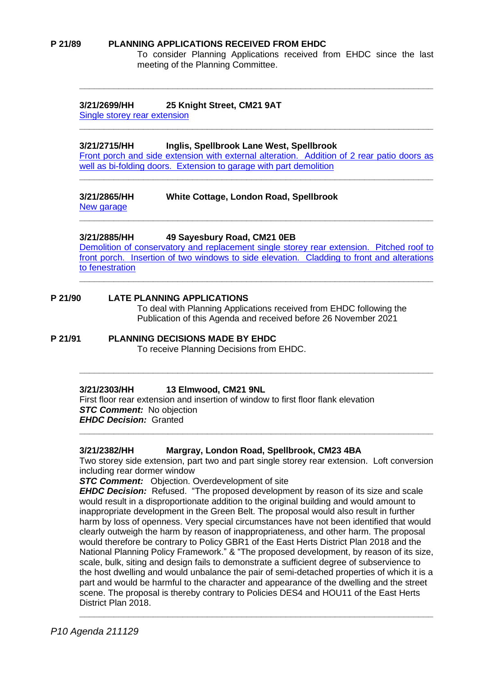#### **P 21/89 PLANNING APPLICATIONS RECEIVED FROM EHDC**

To consider Planning Applications received from EHDC since the last meeting of the Planning Committee.

### **3/21/2699/HH 25 Knight Street, CM21 9AT**

[Single storey rear extension](https://publicaccess.eastherts.gov.uk/online-applications/applicationDetails.do?activeTab=documents&keyVal=R1N5QVGLHQ600)

### **3/21/2715/HH Inglis, Spellbrook Lane West, Spellbrook**

[Front porch and side extension with external alteration. Addition of 2 rear patio doors as](https://publicaccess.eastherts.gov.uk/online-applications/applicationDetails.do?activeTab=documents&keyVal=R1P0ECGLHR400)  [well as bi-folding doors. Extension to garage with part demolition](https://publicaccess.eastherts.gov.uk/online-applications/applicationDetails.do?activeTab=documents&keyVal=R1P0ECGLHR400) **\_\_\_\_\_\_\_\_\_\_\_\_\_\_\_\_\_\_\_\_\_\_\_\_\_\_\_\_\_\_\_\_\_\_\_\_\_\_\_\_\_\_\_\_\_\_\_\_\_\_\_\_\_\_\_\_\_\_\_\_\_\_\_\_\_\_\_\_\_\_\_\_**

**\_\_\_\_\_\_\_\_\_\_\_\_\_\_\_\_\_\_\_\_\_\_\_\_\_\_\_\_\_\_\_\_\_\_\_\_\_\_\_\_\_\_\_\_\_\_\_\_\_\_\_\_\_\_\_\_\_\_\_\_\_\_\_\_\_\_\_\_\_\_\_\_**

**\_\_\_\_\_\_\_\_\_\_\_\_\_\_\_\_\_\_\_\_\_\_\_\_\_\_\_\_\_\_\_\_\_\_\_\_\_\_\_\_\_\_\_\_\_\_\_\_\_\_\_\_\_\_\_\_\_\_\_\_\_\_\_\_\_\_\_\_\_\_\_\_**

**\_\_\_\_\_\_\_\_\_\_\_\_\_\_\_\_\_\_\_\_\_\_\_\_\_\_\_\_\_\_\_\_\_\_\_\_\_\_\_\_\_\_\_\_\_\_\_\_\_\_\_\_\_\_\_\_\_\_\_\_\_\_\_\_\_\_\_\_\_\_\_\_**

**\_\_\_\_\_\_\_\_\_\_\_\_\_\_\_\_\_\_\_\_\_\_\_\_\_\_\_\_\_\_\_\_\_\_\_\_\_\_\_\_\_\_\_\_\_\_\_\_\_\_\_\_\_\_\_\_\_\_\_\_\_\_\_\_\_\_\_\_\_\_\_\_**

### **3/21/2865/HH White Cottage, London Road, Spellbrook**

[New garage](https://publicaccess.eastherts.gov.uk/online-applications/applicationDetails.do?activeTab=documents&keyVal=R2JY8QGLI1Y00)

# **\_\_\_\_\_\_\_\_\_\_\_\_\_\_\_\_\_\_\_\_\_\_\_\_\_\_\_\_\_\_\_\_\_\_\_\_\_\_\_\_\_\_\_\_\_\_\_\_\_\_\_\_\_\_\_\_\_\_\_\_\_\_\_\_\_\_\_\_\_\_\_\_**

**3/21/2885/HH 49 Sayesbury Road, CM21 0EB** [Demolition of conservatory and replacement single storey rear extension. Pitched roof to](https://publicaccess.eastherts.gov.uk/online-applications/applicationDetails.do?activeTab=documents&keyVal=R2O9VUGLI3C00)  [front porch. Insertion of two windows to side elevation. Cladding to front and alterations](https://publicaccess.eastherts.gov.uk/online-applications/applicationDetails.do?activeTab=documents&keyVal=R2O9VUGLI3C00) 

[to fenestration](https://publicaccess.eastherts.gov.uk/online-applications/applicationDetails.do?activeTab=documents&keyVal=R2O9VUGLI3C00)

### **P 21/90 LATE PLANNING APPLICATIONS**

To deal with Planning Applications received from EHDC following the Publication of this Agenda and received before 26 November 2021

### **P 21/91 PLANNING DECISIONS MADE BY EHDC**

To receive Planning Decisions from EHDC.

### **3/21/2303/HH 13 Elmwood, CM21 9NL**

First floor rear extension and insertion of window to first floor flank elevation *STC Comment:* No objection *EHDC Decision:* Granted

### **3/21/2382/HH Margray, London Road, Spellbrook, CM23 4BA**

Two storey side extension, part two and part single storey rear extension. Loft conversion including rear dormer window

**\_\_\_\_\_\_\_\_\_\_\_\_\_\_\_\_\_\_\_\_\_\_\_\_\_\_\_\_\_\_\_\_\_\_\_\_\_\_\_\_\_\_\_\_\_\_\_\_\_\_\_\_\_\_\_\_\_\_\_\_\_\_\_\_\_\_\_\_\_\_\_\_**

**STC Comment:** Objection. Overdevelopment of site

*EHDC Decision:* Refused. "The proposed development by reason of its size and scale would result in a disproportionate addition to the original building and would amount to inappropriate development in the Green Belt. The proposal would also result in further harm by loss of openness. Very special circumstances have not been identified that would clearly outweigh the harm by reason of inappropriateness, and other harm. The proposal would therefore be contrary to Policy GBR1 of the East Herts District Plan 2018 and the National Planning Policy Framework." & "The proposed development, by reason of its size, scale, bulk, siting and design fails to demonstrate a sufficient degree of subservience to the host dwelling and would unbalance the pair of semi-detached properties of which it is a part and would be harmful to the character and appearance of the dwelling and the street scene. The proposal is thereby contrary to Policies DES4 and HOU11 of the East Herts District Plan 2018.

**\_\_\_\_\_\_\_\_\_\_\_\_\_\_\_\_\_\_\_\_\_\_\_\_\_\_\_\_\_\_\_\_\_\_\_\_\_\_\_\_\_\_\_\_\_\_\_\_\_\_\_\_\_\_\_\_\_\_\_\_\_\_\_\_\_\_\_\_\_\_\_\_**